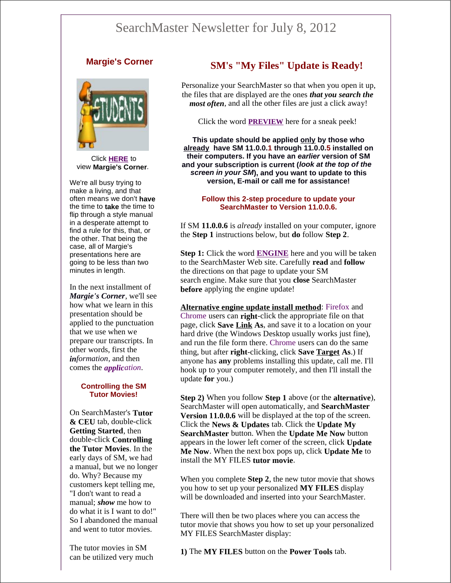# SearchMaster Newsletter for July 8, 2012

# **Margie's Corner**



Click **HERE** to view **Margie's Corner***.*

We're all busy trying to make a living, and that often means we don't **have** the time to **take** the time to flip through a style manual in a desperate attempt to find a rule for this, that, or the other. That being the case, all of Margie's presentations here are going to be less than two minutes in length.

In the next installment of *Margie's Corner*, we'll see how what we learn in this presentation should be applied to the punctuation that we use when we prepare our transcripts. In other words, first the *information*, and then comes the *application*.

#### **Controlling the SM Tutor Movies!**

On SearchMaster's **Tutor & CEU** tab, double-click **Getting Started**, then double-click **Controlling the Tutor Movies**. In the early days of SM, we had a manual, but we no longer do. Why? Because my customers kept telling me, "I don't want to read a manual; *show* me how to do what it is I want to do!" So I abandoned the manual and went to tutor movies.

The tutor movies in SM can be utilized very much

# **SM's "My Files" Update is Ready!**

Personalize your SearchMaster so that when you open it up, the files that are displayed are the ones *that you search the most often*, and all the other files are just a click away!

Click the word **PREVIEW** here for a sneak peek!

**This update should be applied only by those who already have SM 11.0.0.1 through 11.0.0.5 installed on their computers. If you have an** *earlier* **version of SM and your subscription is current (***look at the top of the screen in your SM***), and you want to update to this version, E-mail or call me for assistance!**

#### **Follow this 2-step procedure to update your SearchMaster to Version 11.0.0.6.**

If SM **11.0.0.6** is *already* installed on your computer, ignore the **Step 1** instructions below, but **do** follow **Step 2**.

**Step 1:** Click the word **ENGINE** here and you will be taken to the SearchMaster Web site. Carefully **read** and **follow** the directions on that page to update your SM search engine. Make sure that you **close** SearchMaster **before** applying the engine update!

**Alternative engine update install method**: Firefox and Chrome users can **right**-click the appropriate file on that page, click **Save Link As**, and save it to a location on your hard drive (the Windows Desktop usually works just fine), and run the file form there. Chrome users can do the same thing, but after **right**-clicking, click **Save Target As**.) If anyone has **any** problems installing this update, call me. I'll hook up to your computer remotely, and then I'll install the update **for** you.)

**Step 2)** When you follow **Step 1** above (or the **alternative**), SearchMaster will open automatically, and **SearchMaster Version 11.0.0.6** will be displayed at the top of the screen. Click the **News & Updates** tab. Click the **Update My SearchMaster** button. When the **Update Me Now** button appears in the lower left corner of the screen, click **Update Me Now**. When the next box pops up, click **Update Me** to install the MY FILES **tutor movie**.

When you complete **Step 2**, the new tutor movie that shows you how to set up your personalized **MY FILES** display will be downloaded and inserted into your SearchMaster.

There will then be two places where you can access the tutor movie that shows you how to set up your personalized MY FILES SearchMaster display:

**1)** The **MY FILES** button on the **Power Tools** tab.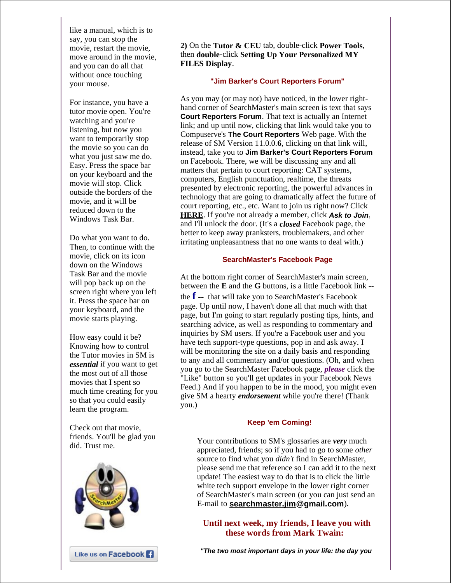like a manual, which is to say, you can stop the movie, restart the movie, move around in the movie, and you can do all that without once touching your mouse.

For instance, you have a tutor movie open. You're watching and you're listening, but now you want to temporarily stop the movie so you can do what you just saw me do. Easy. Press the space bar on your keyboard and the movie will stop. Click outside the borders of the movie, and it will be reduced down to the Windows Task Bar.

Do what you want to do. Then, to continue with the movie, click on its icon down on the Windows Task Bar and the movie will pop back up on the screen right where you left it. Press the space bar on your keyboard, and the movie starts playing.

How easy could it be? Knowing how to control the Tutor movies in SM is *essential* if you want to get the most out of all those movies that I spent so much time creating for you so that you could easily learn the program.

Check out that movie, friends. You'll be glad you did. Trust me.



**2)** On the **Tutor & CEU** tab, double-click **Power Tools**, then **double**-click **Setting Up Your Personalized MY FILES Display**.

## **"Jim Barker's Court Reporters Forum"**

As you may (or may not) have noticed, in the lower righthand corner of SearchMaster's main screen is text that says **Court Reporters Forum**. That text is actually an Internet link; and up until now, clicking that link would take you to Compuserve's **The Court Reporters** Web page. With the release of SM Version 11.0.0.**6**, clicking on that link will, instead, take you to **Jim Barker's Court Reporters Forum** on Facebook. There, we will be discussing any and all matters that pertain to court reporting: CAT systems, computers, English punctuation, realtime, the threats presented by electronic reporting, the powerful advances in technology that are going to dramatically affect the future of court reporting, etc., etc. Want to join us right now? Click **HERE**. If you're not already a member, click *Ask to Join*, and I'll unlock the door. (It's a *closed* Facebook page, the better to keep away pranksters, troublemakers, and other irritating unpleasantness that no one wants to deal with.)

## **SearchMaster's Facebook Page**

At the bottom right corner of SearchMaster's main screen, between the **E** and the **G** buttons, is a little Facebook link - the **f --** that will take you to SearchMaster's Facebook page. Up until now, I haven't done all that much with that page, but I'm going to start regularly posting tips, hints, and searching advice, as well as responding to commentary and inquiries by SM users. If you're a Facebook user and you have tech support-type questions, pop in and ask away. I will be monitoring the site on a daily basis and responding to any and all commentary and/or questions. (Oh, and when you go to the SearchMaster Facebook page, *please* click the "Like" button so you'll get updates in your Facebook News Feed.) And if you happen to be in the mood, you might even give SM a hearty *endorsement* while you're there! (Thank you.)

#### **Keep 'em Coming!**

Your contributions to SM's glossaries are *very* much appreciated, friends; so if you had to go to some *other* source to find what you *didn't* find in SearchMaster, please send me that reference so I can add it to the next update! The easiest way to do that is to click the little white tech support envelope in the lower right corner of SearchMaster's main screen (or you can just send an E-mail to **searchmaster.jim@gmail.com**).

# **Until next week, my friends, I leave you with these words from Mark Twain:**

*"The two most important days in your life: the day you*